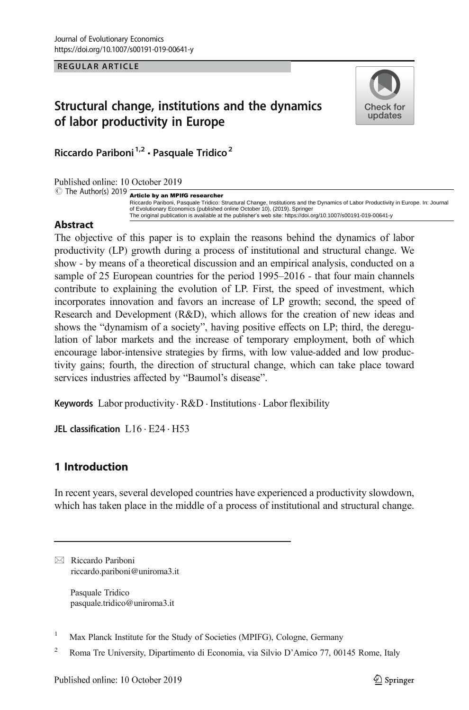**REGULAR ARTICLE** 

# Structural change, institutions and the dynamics of labor productivity in Europe



Riccardo Pariboni<sup>1,2</sup> · Pasquale Tridico<sup>2</sup>

Published online: 10 October 2019

## $\circ$  The Author(s) 2019 **Article by an MPIfG researcher**

Riccardo Pariboni, Pasquale Tridico: Structural Change, Institutions and the Dynamics of Labor Productivity in Europe. In: Journal of Evolutionary Economics (published online October 10), (2019). Springer The original publication is available at the publisher's web site: https://doi.org/10.1007/s00191-019-00641-y

## Abstract

The objective of this paper is to explain the reasons behind the dynamics of labor productivity (LP) growth during a process of institutional and structural change. We show - by means of a theoretical discussion and an empirical analysis, conducted on a sample of 25 European countries for the period 1995–2016 - that four main channels contribute to explaining the evolution of LP. First, the speed of investment, which incorporates innovation and favors an increase of LP growth; second, the speed of Research and Development (R&D), which allows for the creation of new ideas and shows the "dynamism of a society", having positive effects on LP; third, the deregulation of labor markets and the increase of temporary employment, both of which encourage labor-intensive strategies by firms, with low value-added and low productivity gains; fourth, the direction of structural change, which can take place toward services industries affected by "Baumol's disease".

Keywords Labor productivity  $R&D$  Institutions  $\cdot$  Labor flexibility

JEL classification L16 . E24 . H53

## 1 Introduction

In recent years, several developed countries have experienced a productivity slowdown, which has taken place in the middle of a process of institutional and structural change.

 $\boxtimes$  Riccardo Pariboni [riccardo.pariboni@uniroma3.it](mailto:riccardo.pariboni@uniroma3.it)

> Pasquale Tridico pasquale.tridico@uniroma3.it

<sup>1</sup> Max Planck Institute for the Study of Societies (MPIFG), Cologne, Germany

<sup>2</sup> Roma Tre University, Dipartimento di Economia, via Silvio D'Amico 77, 00145 Rome, Italy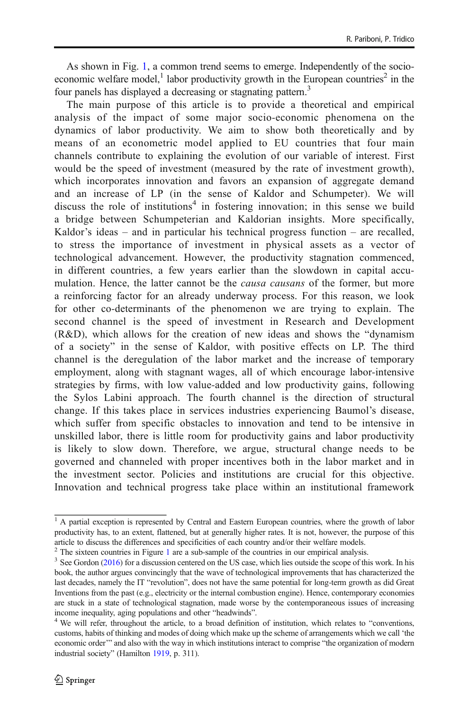As shown in Fig. [1](#page-2-0), a common trend seems to emerge. Independently of the socioeconomic welfare model,<sup>1</sup> labor productivity growth in the European countries<sup>2</sup> in the four panels has displayed a decreasing or stagnating pattern.<sup>3</sup>

The main purpose of this article is to provide a theoretical and empirical analysis of the impact of some major socio-economic phenomena on the dynamics of labor productivity. We aim to show both theoretically and by means of an econometric model applied to EU countries that four main channels contribute to explaining the evolution of our variable of interest. First would be the speed of investment (measured by the rate of investment growth), which incorporates innovation and favors an expansion of aggregate demand and an increase of LP (in the sense of Kaldor and Schumpeter). We will discuss the role of institutions<sup>4</sup> in fostering innovation; in this sense we build a bridge between Schumpeterian and Kaldorian insights. More specifically, Kaldor's ideas – and in particular his technical progress function – are recalled, to stress the importance of investment in physical assets as a vector of technological advancement. However, the productivity stagnation commenced, in different countries, a few years earlier than the slowdown in capital accumulation. Hence, the latter cannot be the *causa causans* of the former, but more a reinforcing factor for an already underway process. For this reason, we look for other co-determinants of the phenomenon we are trying to explain. The second channel is the speed of investment in Research and Development (R&D), which allows for the creation of new ideas and shows the "dynamism of a society" in the sense of Kaldor, with positive effects on LP. The third channel is the deregulation of the labor market and the increase of temporary employment, along with stagnant wages, all of which encourage labor-intensive strategies by firms, with low value-added and low productivity gains, following the Sylos Labini approach. The fourth channel is the direction of structural change. If this takes place in services industries experiencing Baumol's disease, which suffer from specific obstacles to innovation and tend to be intensive in unskilled labor, there is little room for productivity gains and labor productivity is likely to slow down. Therefore, we argue, structural change needs to be governed and channeled with proper incentives both in the labor market and in the investment sector. Policies and institutions are crucial for this objective. Innovation and technical progress take place within an institutional framework

<sup>&</sup>lt;sup>1</sup> A partial exception is represented by Central and Eastern European countries, where the growth of labor productivity has, to an extent, flattened, but at generally higher rates. It is not, however, the purpose of this article to discuss the differences and specificities of each country and/or their welfare models.<br><sup>2</sup> The sixteen countries in Figure 1 are a sub-sample of the countries in our empirical analysis.

 $3$  See Gordon (20[1](#page-2-0)6) for a discussion centered on the US case, which lies outside the scope of this work. In his book, the author argues convincingly that the wave of technological improvements that has characterized the last decades, namely the IT "revolution", does not have the same potential for long-term growth as did Great Inventions from the past (e.g., electricity or the internal combustion engine). Hence, contemporary economies are stuck in a state of technological stagnation, made worse by the contemporaneous issues of increasing income inequality, aging populations and other "headwinds". <sup>4</sup> We will refer, throughout the article, to a broad definition of institution, which relates to "conventions,

customs, habits of thinking and modes of doing which make up the scheme of arrangements which we call 'the economic order'" and also with the way in which institutions interact to comprise "the organization of modern industrial society" (Hamilton [1919,](#page-24-0) p. 311).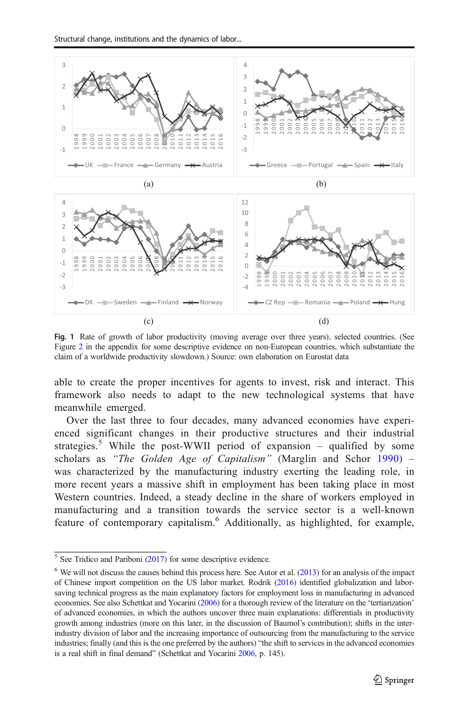<span id="page-2-0"></span>

Fig. 1 Rate of growth of labor productivity (moving average over three years), selected countries. (See Figure [2](#page-19-0) in the appendix for some descriptive evidence on non-European countries, which substantiate the claim of a worldwide productivity slowdown.) Source: own elaboration on Eurostat data

able to create the proper incentives for agents to invest, risk and interact. This framework also needs to adapt to the new technological systems that have meanwhile emerged.

Over the last three to four decades, many advanced economies have experienced significant changes in their productive structures and their industrial strategies.<sup>5</sup> While the post-WWII period of expansion – qualified by some scholars as "The Golden Age of Capitalism" (Marglin and Schor [1990\)](#page-24-0) – was characterized by the manufacturing industry exerting the leading role, in more recent years a massive shift in employment has been taking place in most Western countries. Indeed, a steady decline in the share of workers employed in manufacturing and a transition towards the service sector is a well-known feature of contemporary capitalism.<sup>6</sup> Additionally, as highlighted, for example,

See Tridico and Pariboni [\(2017\)](#page-25-0) for some descriptive evidence.

 We will not discuss the causes behind this process here. See Autor et al. [\(2013\)](#page-23-0) for an analysis of the impact of Chinese import competition on the US labor market. Rodrik ([2016](#page-25-0)) identified globalization and laborsaving technical progress as the main explanatory factors for employment loss in manufacturing in advanced economies. See also Schettkat and Yocarini [\(2006](#page-25-0)) for a thorough review of the literature on the 'tertiarization' of advanced economies, in which the authors uncover three main explanations: differentials in productivity growth among industries (more on this later, in the discussion of Baumol's contribution); shifts in the interindustry division of labor and the increasing importance of outsourcing from the manufacturing to the service industries; finally (and this is the one preferred by the authors) "the shift to services in the advanced economies is a real shift in final demand" (Schettkat and Yocarini [2006,](#page-25-0) p. 145).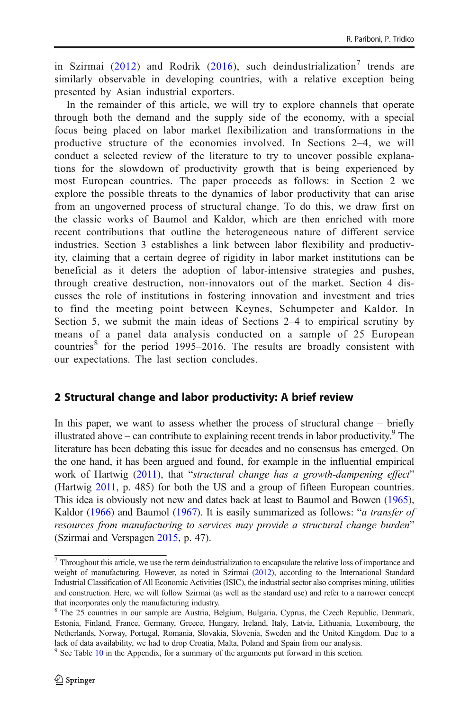in Szirmai ([2012](#page-25-0)) and Rodrik ([2016](#page-25-0)), such deindustrialization<sup>7</sup> trends are similarly observable in developing countries, with a relative exception being presented by Asian industrial exporters.

In the remainder of this article, we will try to explore channels that operate through both the demand and the supply side of the economy, with a special focus being placed on labor market flexibilization and transformations in the productive structure of the economies involved. In Sections 2–4, we will conduct a selected review of the literature to try to uncover possible explanations for the slowdown of productivity growth that is being experienced by most European countries. The paper proceeds as follows: in Section 2 we explore the possible threats to the dynamics of labor productivity that can arise from an ungoverned process of structural change. To do this, we draw first on the classic works of Baumol and Kaldor, which are then enriched with more recent contributions that outline the heterogeneous nature of different service industries. Section 3 establishes a link between labor flexibility and productivity, claiming that a certain degree of rigidity in labor market institutions can be beneficial as it deters the adoption of labor-intensive strategies and pushes, through creative destruction, non-innovators out of the market. Section 4 discusses the role of institutions in fostering innovation and investment and tries to find the meeting point between Keynes, Schumpeter and Kaldor. In Section 5, we submit the main ideas of Sections 2–4 to empirical scrutiny by means of a panel data analysis conducted on a sample of 25 European countries $8$  for the period 1995–2016. The results are broadly consistent with our expectations. The last section concludes.

## 2 Structural change and labor productivity: A brief review

In this paper, we want to assess whether the process of structural change – briefly illustrated above – can contribute to explaining recent trends in labor productivity.<sup>9</sup> The literature has been debating this issue for decades and no consensus has emerged. On the one hand, it has been argued and found, for example in the influential empirical work of Hartwig ([2011](#page-24-0)), that "structural change has a growth-dampening effect" (Hartwig [2011,](#page-24-0) p. 485) for both the US and a group of fifteen European countries. This idea is obviously not new and dates back at least to Baumol and Bowen [\(1965\)](#page-23-0), Kaldor [\(1966\)](#page-24-0) and Baumol [\(1967\)](#page-23-0). It is easily summarized as follows: "*a transfer of* resources from manufacturing to services may provide a structural change burden" (Szirmai and Verspagen [2015,](#page-25-0) p. 47).

 $^7$  Throughout this article, we use the term deindustrialization to encapsulate the relative loss of importance and weight of manufacturing. However, as noted in Szirmai ([2012](#page-25-0)), according to the International Standard Industrial Classification of All Economic Activities (ISIC), the industrial sector also comprises mining, utilities and construction. Here, we will follow Szirmai (as well as the standard use) and refer to a narrower concept that incorporates only the manufacturing industry.

<sup>8</sup> The 25 countries in our sample are Austria, Belgium, Bulgaria, Cyprus, the Czech Republic, Denmark, Estonia, Finland, France, Germany, Greece, Hungary, Ireland, Italy, Latvia, Lithuania, Luxembourg, the Netherlands, Norway, Portugal, Romania, Slovakia, Slovenia, Sweden and the United Kingdom. Due to a lack of data availability, we had to drop Croatia, Malta, Poland and Spain from our analysis.

 $9$  See Table [10](#page-22-0) in the Appendix, for a summary of the arguments put forward in this section.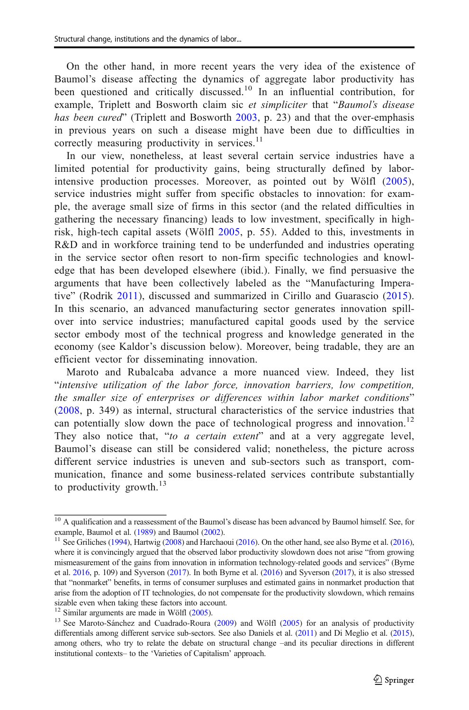On the other hand, in more recent years the very idea of the existence of Baumol's disease affecting the dynamics of aggregate labor productivity has been questioned and critically discussed.<sup>10</sup> In an influential contribution, for example, Triplett and Bosworth claim sic et simpliciter that "Baumol's disease has been cured" (Triplett and Bosworth [2003](#page-25-0), p. 23) and that the over-emphasis in previous years on such a disease might have been due to difficulties in correctly measuring productivity in services. $11$ 

In our view, nonetheless, at least several certain service industries have a limited potential for productivity gains, being structurally defined by laborintensive production processes. Moreover, as pointed out by Wölfl ([2005](#page-25-0)), service industries might suffer from specific obstacles to innovation: for example, the average small size of firms in this sector (and the related difficulties in gathering the necessary financing) leads to low investment, specifically in highrisk, high-tech capital assets (Wölfl [2005](#page-25-0), p. 55). Added to this, investments in R&D and in workforce training tend to be underfunded and industries operating in the service sector often resort to non-firm specific technologies and knowledge that has been developed elsewhere (ibid.). Finally, we find persuasive the arguments that have been collectively labeled as the "Manufacturing Imperative" (Rodrik [2011\)](#page-25-0), discussed and summarized in Cirillo and Guarascio [\(2015\)](#page-23-0). In this scenario, an advanced manufacturing sector generates innovation spillover into service industries; manufactured capital goods used by the service sector embody most of the technical progress and knowledge generated in the economy (see Kaldor's discussion below). Moreover, being tradable, they are an efficient vector for disseminating innovation.

Maroto and Rubalcaba advance a more nuanced view. Indeed, they list "intensive utilization of the labor force, innovation barriers, low competition, the smaller size of enterprises or differences within labor market conditions" [\(2008,](#page-24-0) p. 349) as internal, structural characteristics of the service industries that can potentially slow down the pace of technological progress and innovation.<sup>12</sup> They also notice that, "to a certain extent" and at a very aggregate level, Baumol's disease can still be considered valid; nonetheless, the picture across different service industries is uneven and sub-sectors such as transport, communication, finance and some business-related services contribute substantially to productivity growth. $^{13}$ 

<sup>&</sup>lt;sup>10</sup> A qualification and a reassessment of the Baumol's disease has been advanced by Baumol himself. See, for

example, Baumol et al. [\(1989\)](#page-23-0) and Baumol [\(2002\)](#page-23-0).<br><sup>11</sup> See Griliches ([1994](#page-24-0)), Hartwig ([2008](#page-24-0)) and Harchaoui [\(2016](#page-24-0)). On the other hand, see also Byrne et al. [\(2016\)](#page-23-0), where it is convincingly argued that the observed labor productivity slowdown does not arise "from growing mismeasurement of the gains from innovation in information technology-related goods and services" (Byrne et al. [2016,](#page-23-0) p. 109) and Syverson [\(2017\)](#page-25-0). In both Byrne et al. ([2016](#page-23-0)) and Syverson ([2017](#page-25-0)), it is also stressed that "nonmarket" benefits, in terms of consumer surpluses and estimated gains in nonmarket production that arise from the adoption of IT technologies, do not compensate for the productivity slowdown, which remains sizable even when taking these factors into account.<br><sup>12</sup> Similar arguments are made in Wölfl  $(2005)$ .

<sup>&</sup>lt;sup>13</sup> See Maroto-Sánchez and Cuadrado-Roura (2009) and Wölfl ([2005](#page-25-0)) for an analysis of productivity differentials among different service sub-sectors. See also Daniels et al. [\(2011\)](#page-23-0) and Di Meglio et al. [\(2015\)](#page-23-0), among others, who try to relate the debate on structural change –and its peculiar directions in different institutional contexts– to the 'Varieties of Capitalism' approach.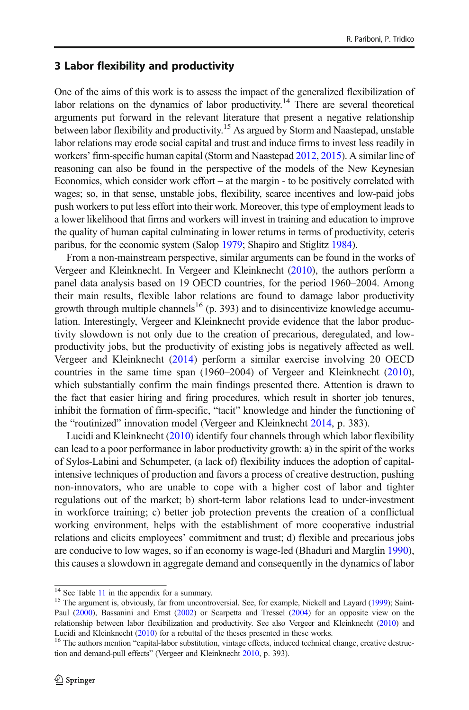## 3 Labor flexibility and productivity

One of the aims of this work is to assess the impact of the generalized flexibilization of labor relations on the dynamics of labor productivity.<sup>14</sup> There are several theoretical arguments put forward in the relevant literature that present a negative relationship between labor flexibility and productivity.<sup>15</sup> As argued by Storm and Naastepad, unstable labor relations may erode social capital and trust and induce firms to invest less readily in workers' firm-specific human capital (Storm and Naastepad [2012,](#page-25-0) [2015](#page-25-0)). A similar line of reasoning can also be found in the perspective of the models of the New Keynesian Economics, which consider work effort – at the margin - to be positively correlated with wages; so, in that sense, unstable jobs, flexibility, scarce incentives and low-paid jobs push workers to put less effort into their work. Moreover, this type of employment leads to a lower likelihood that firms and workers will invest in training and education to improve the quality of human capital culminating in lower returns in terms of productivity, ceteris paribus, for the economic system (Salop [1979](#page-25-0); Shapiro and Stiglitz [1984\)](#page-25-0).

From a non-mainstream perspective, similar arguments can be found in the works of Vergeer and Kleinknecht. In Vergeer and Kleinknecht ([2010](#page-25-0)), the authors perform a panel data analysis based on 19 OECD countries, for the period 1960–2004. Among their main results, flexible labor relations are found to damage labor productivity growth through multiple channels<sup>16</sup> (p. 393) and to disincentivize knowledge accumulation. Interestingly, Vergeer and Kleinknecht provide evidence that the labor productivity slowdown is not only due to the creation of precarious, deregulated, and lowproductivity jobs, but the productivity of existing jobs is negatively affected as well. Vergeer and Kleinknecht ([2014\)](#page-25-0) perform a similar exercise involving 20 OECD countries in the same time span (1960–2004) of Vergeer and Kleinknecht [\(2010\)](#page-25-0), which substantially confirm the main findings presented there. Attention is drawn to the fact that easier hiring and firing procedures, which result in shorter job tenures, inhibit the formation of firm-specific, "tacit" knowledge and hinder the functioning of the "routinized" innovation model (Vergeer and Kleinknecht [2014,](#page-25-0) p. 383).

Lucidi and Kleinknecht ([2010](#page-24-0)) identify four channels through which labor flexibility can lead to a poor performance in labor productivity growth: a) in the spirit of the works of Sylos-Labini and Schumpeter, (a lack of) flexibility induces the adoption of capitalintensive techniques of production and favors a process of creative destruction, pushing non-innovators, who are unable to cope with a higher cost of labor and tighter regulations out of the market; b) short-term labor relations lead to under-investment in workforce training; c) better job protection prevents the creation of a conflictual working environment, helps with the establishment of more cooperative industrial relations and elicits employees' commitment and trust; d) flexible and precarious jobs are conducive to low wages, so if an economy is wage-led (Bhaduri and Marglin [1990\)](#page-23-0), this causes a slowdown in aggregate demand and consequently in the dynamics of labor

 $14$  See Table [11](#page-22-0) in the appendix for a summary.<br><sup>15</sup> The argument is, obviously, far from uncontroversial. See, for example, Nickell and Layard ([1999](#page-24-0)); Saint-Paul ([2000\)](#page-25-0), Bassanini and Ernst ([2002\)](#page-23-0) or Scarpetta and Tressel [\(2004\)](#page-25-0) for an opposite view on the relationship between labor flexibilization and productivity. See also Vergeer and Kleinknecht ([2010](#page-25-0)) and Lucidi and Kleinknecht [\(2010\)](#page-24-0) for a rebuttal of the theses presented in these works.<br><sup>16</sup> The authors mention "capital-labor substitution, vintage effects, induced technical change, creative destruc-

tion and demand-pull effects" (Vergeer and Kleinknecht [2010,](#page-25-0) p. 393).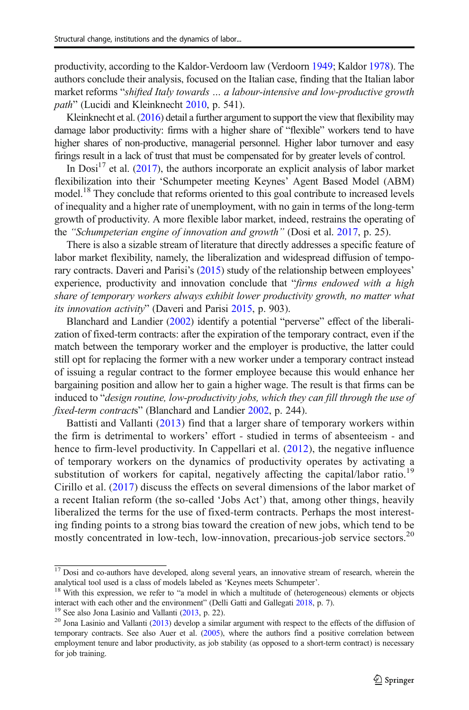productivity, according to the Kaldor-Verdoorn law (Verdoorn [1949;](#page-25-0) Kaldor [1978](#page-24-0)). The authors conclude their analysis, focused on the Italian case, finding that the Italian labor market reforms "shifted Italy towards … a labour-intensive and low-productive growth path" (Lucidi and Kleinknecht [2010,](#page-24-0) p. 541).

Kleinknecht et al. ([2016](#page-24-0)) detail a further argument to support the view that flexibility may damage labor productivity: firms with a higher share of "flexible" workers tend to have higher shares of non-productive, managerial personnel. Higher labor turnover and easy firings result in a lack of trust that must be compensated for by greater levels of control.

In  $Dosi<sup>17</sup>$  et al. ([2017](#page-24-0)), the authors incorporate an explicit analysis of labor market flexibilization into their 'Schumpeter meeting Keynes' Agent Based Model (ABM) model.<sup>18</sup> They conclude that reforms oriented to this goal contribute to increased levels of inequality and a higher rate of unemployment, with no gain in terms of the long-term growth of productivity. A more flexible labor market, indeed, restrains the operating of the "Schumpeterian engine of innovation and growth" (Dosi et al. [2017,](#page-24-0) p. 25).

There is also a sizable stream of literature that directly addresses a specific feature of labor market flexibility, namely, the liberalization and widespread diffusion of tempo-rary contracts. Daveri and Parisi's ([2015](#page-23-0)) study of the relationship between employees' experience, productivity and innovation conclude that "firms endowed with a high share of temporary workers always exhibit lower productivity growth, no matter what its innovation activity" (Daveri and Parisi [2015](#page-23-0), p. 903).

Blanchard and Landier [\(2002\)](#page-23-0) identify a potential "perverse" effect of the liberalization of fixed-term contracts: after the expiration of the temporary contract, even if the match between the temporary worker and the employer is productive, the latter could still opt for replacing the former with a new worker under a temporary contract instead of issuing a regular contract to the former employee because this would enhance her bargaining position and allow her to gain a higher wage. The result is that firms can be induced to "design routine, low-productivity jobs, which they can fill through the use of fixed-term contracts" (Blanchard and Landier [2002](#page-23-0), p. 244).

Battisti and Vallanti ([2013](#page-23-0)) find that a larger share of temporary workers within the firm is detrimental to workers' effort - studied in terms of absenteeism - and hence to firm-level productivity. In Cappellari et al. ([2012](#page-23-0)), the negative influence of temporary workers on the dynamics of productivity operates by activating a substitution of workers for capital, negatively affecting the capital/labor ratio.<sup>19</sup> Cirillo et al. ([2017\)](#page-23-0) discuss the effects on several dimensions of the labor market of a recent Italian reform (the so-called 'Jobs Act') that, among other things, heavily liberalized the terms for the use of fixed-term contracts. Perhaps the most interesting finding points to a strong bias toward the creation of new jobs, which tend to be mostly concentrated in low-tech, low-innovation, precarious-job service sectors.<sup>20</sup>

 $17$  Dosi and co-authors have developed, along several years, an innovative stream of research, wherein the analytical tool used is a class of models labeled as 'Keynes meets Schumpeter'.

<sup>&</sup>lt;sup>18</sup> With this expression, we refer to "a model in which a multitude of (heterogeneous) elements or objects interact with each other and the environment" (Delli Gatti and Gallegati  $2018$ , p. 7).

<sup>&</sup>lt;sup>19</sup> See also Jona Lasinio and Vallanti [\(2013](#page-24-0), p. 22).<br><sup>20</sup> Jona Lasinio and Vallanti ([2013](#page-24-0)) develop a similar argument with respect to the effects of the diffusion of temporary contracts. See also Auer et al. ([2005](#page-23-0)), where the authors find a positive correlation between employment tenure and labor productivity, as job stability (as opposed to a short-term contract) is necessary for job training.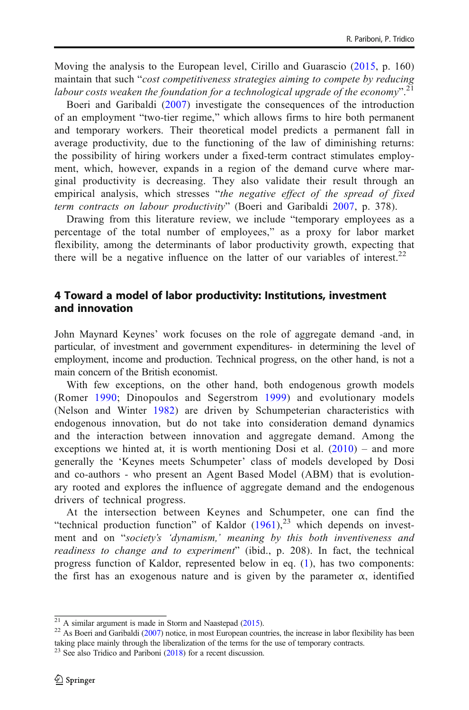Moving the analysis to the European level, Cirillo and Guarascio ([2015](#page-23-0), p. 160) maintain that such "cost competitiveness strategies aiming to compete by reducing labour costs weaken the foundation for a technological upgrade of the economy".<sup>21</sup>

Boeri and Garibaldi ([2007](#page-23-0)) investigate the consequences of the introduction of an employment "two-tier regime," which allows firms to hire both permanent and temporary workers. Their theoretical model predicts a permanent fall in average productivity, due to the functioning of the law of diminishing returns: the possibility of hiring workers under a fixed-term contract stimulates employment, which, however, expands in a region of the demand curve where marginal productivity is decreasing. They also validate their result through an empirical analysis, which stresses "the negative effect of the spread of fixed term contracts on labour productivity" (Boeri and Garibaldi [2007](#page-23-0), p. 378).

Drawing from this literature review, we include "temporary employees as a percentage of the total number of employees," as a proxy for labor market flexibility, among the determinants of labor productivity growth, expecting that there will be a negative influence on the latter of our variables of interest.<sup>22</sup>

## 4 Toward a model of labor productivity: Institutions, investment and innovation

John Maynard Keynes' work focuses on the role of aggregate demand -and, in particular, of investment and government expenditures- in determining the level of employment, income and production. Technical progress, on the other hand, is not a main concern of the British economist.

With few exceptions, on the other hand, both endogenous growth models (Romer [1990;](#page-25-0) Dinopoulos and Segerstrom [1999\)](#page-23-0) and evolutionary models (Nelson and Winter [1982\)](#page-24-0) are driven by Schumpeterian characteristics with endogenous innovation, but do not take into consideration demand dynamics and the interaction between innovation and aggregate demand. Among the exceptions we hinted at, it is worth mentioning Dosi et al.  $(2010)$  – and more generally the 'Keynes meets Schumpeter' class of models developed by Dosi and co-authors - who present an Agent Based Model (ABM) that is evolutionary rooted and explores the influence of aggregate demand and the endogenous drivers of technical progress.

At the intersection between Keynes and Schumpeter, one can find the "technical production function" of Kaldor  $(1961)$  $(1961)$  $(1961)$ ,<sup>23</sup> which depends on investment and on "society's 'dynamism,' meaning by this both inventiveness and readiness to change and to experiment" (ibid., p. 208). In fact, the technical progress function of Kaldor, represented below in eq. ([1\)](#page-8-0), has two components: the first has an exogenous nature and is given by the parameter  $\alpha$ , identified

 $\frac{21}{21}$  A similar argument is made in Storm and Naastepad ([2015](#page-25-0)).<br><sup>22</sup> As Boeri and Garibaldi [\(2007\)](#page-23-0) notice, in most European countries, the increase in labor flexibility has been taking place mainly through the liberalization of the terms for the use of temporary contracts.

 $23$  See also Tridico and Pariboni [\(2018](#page-25-0)) for a recent discussion.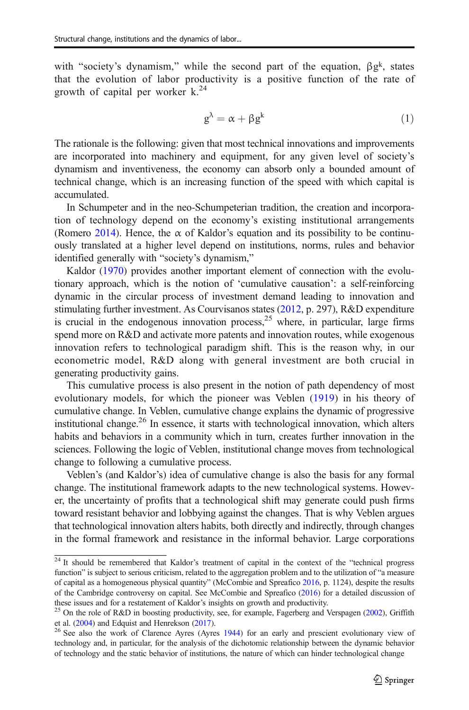<span id="page-8-0"></span>with "society's dynamism," while the second part of the equation,  $\beta g^k$ , states that the evolution of labor productivity is a positive function of the rate of growth of capital per worker  $k^{24}$ 

$$
g^{\lambda} = \alpha + \beta g^{k} \tag{1}
$$

The rationale is the following: given that most technical innovations and improvements are incorporated into machinery and equipment, for any given level of society's dynamism and inventiveness, the economy can absorb only a bounded amount of technical change, which is an increasing function of the speed with which capital is accumulated.

In Schumpeter and in the neo-Schumpeterian tradition, the creation and incorporation of technology depend on the economy's existing institutional arrangements (Romero [2014\)](#page-25-0). Hence, the  $\alpha$  of Kaldor's equation and its possibility to be continuously translated at a higher level depend on institutions, norms, rules and behavior identified generally with "society's dynamism,"

Kaldor [\(1970\)](#page-24-0) provides another important element of connection with the evolutionary approach, which is the notion of 'cumulative causation': a self-reinforcing dynamic in the circular process of investment demand leading to innovation and stimulating further investment. As Courvisanos states ([2012](#page-23-0), p. 297), R&D expenditure is crucial in the endogenous innovation process, $2<sup>5</sup>$  where, in particular, large firms spend more on R&D and activate more patents and innovation routes, while exogenous innovation refers to technological paradigm shift. This is the reason why, in our econometric model, R&D along with general investment are both crucial in generating productivity gains.

This cumulative process is also present in the notion of path dependency of most evolutionary models, for which the pioneer was Veblen ([1919\)](#page-25-0) in his theory of cumulative change. In Veblen, cumulative change explains the dynamic of progressive institutional change.<sup>26</sup> In essence, it starts with technological innovation, which alters habits and behaviors in a community which in turn, creates further innovation in the sciences. Following the logic of Veblen, institutional change moves from technological change to following a cumulative process.

Veblen's (and Kaldor's) idea of cumulative change is also the basis for any formal change. The institutional framework adapts to the new technological systems. However, the uncertainty of profits that a technological shift may generate could push firms toward resistant behavior and lobbying against the changes. That is why Veblen argues that technological innovation alters habits, both directly and indirectly, through changes in the formal framework and resistance in the informal behavior. Large corporations

<sup>&</sup>lt;sup>24</sup> It should be remembered that Kaldor's treatment of capital in the context of the "technical progress function" is subject to serious criticism, related to the aggregation problem and to the utilization of "a measure of capital as a homogeneous physical quantity" (McCombie and Spreafico [2016](#page-24-0), p. 1124), despite the results of the Cambridge controversy on capital. See McCombie and Spreafico [\(2016\)](#page-24-0) for a detailed discussion of these issues and for a restatement of Kaldor's insights on growth and productivity.<br><sup>25</sup> On the role of R&D in boosting productivity, see, for example, Fagerberg and Verspagen [\(2002](#page-24-0)), Griffith

et al. [\(2004\)](#page-24-0) and Edquist and Henrekson [\(2017\)](#page-24-0).<br><sup>26</sup> See also the work of Clarence Ayres (Ayres [1944](#page-23-0)) for an early and prescient evolutionary view of

technology and, in particular, for the analysis of the dichotomic relationship between the dynamic behavior of technology and the static behavior of institutions, the nature of which can hinder technological change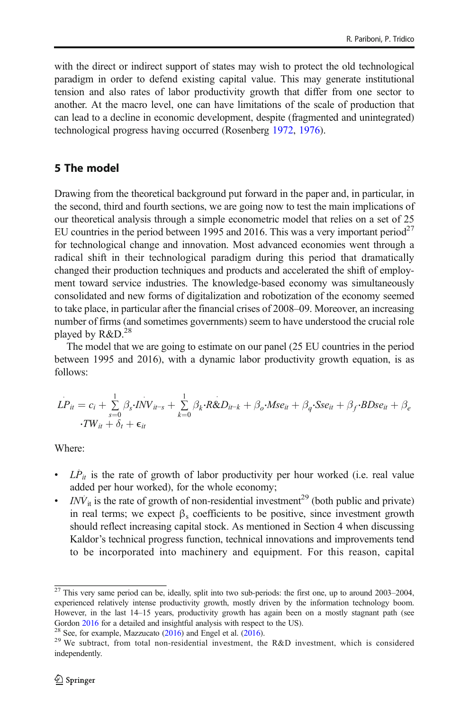with the direct or indirect support of states may wish to protect the old technological paradigm in order to defend existing capital value. This may generate institutional tension and also rates of labor productivity growth that differ from one sector to another. At the macro level, one can have limitations of the scale of production that can lead to a decline in economic development, despite (fragmented and unintegrated) technological progress having occurred (Rosenberg [1972,](#page-25-0) [1976\)](#page-25-0).

## 5 The model

Drawing from the theoretical background put forward in the paper and, in particular, in the second, third and fourth sections, we are going now to test the main implications of our theoretical analysis through a simple econometric model that relies on a set of 25 EU countries in the period between 1995 and 2016. This was a very important period<sup>27</sup> for technological change and innovation. Most advanced economies went through a radical shift in their technological paradigm during this period that dramatically changed their production techniques and products and accelerated the shift of employment toward service industries. The knowledge-based economy was simultaneously consolidated and new forms of digitalization and robotization of the economy seemed to take place, in particular after the financial crises of 2008–09. Moreover, an increasing number of firms (and sometimes governments) seem to have understood the crucial role played by  $R&D.<sup>28</sup>$ 

The model that we are going to estimate on our panel (25 EU countries in the period between 1995 and 2016), with a dynamic labor productivity growth equation, is as follows:

$$
LP_{it} = c_i + \sum_{s=0}^{1} \beta_s \cdot \overline{INV}_{it-s} + \sum_{k=0}^{1} \beta_k \cdot R \& D_{it-k} + \beta_o \cdot Mse_{it} + \beta_q \cdot Sse_{it} + \beta_f \cdot BDse_{it} + \beta_e
$$
  

$$
\cdot TW_{it} + \delta_t + \epsilon_{it}
$$

Where:

- $\bullet$  *LP*<sub>it</sub> is the rate of growth of labor productivity per hour worked (i.e. real value added per hour worked), for the whole economy;
- $\cdot$  *INV*<sub>it</sub> is the rate of growth of non-residential investment<sup>29</sup> (both public and private) in real terms; we expect  $\beta_s$  coefficients to be positive, since investment growth should reflect increasing capital stock. As mentioned in Section 4 when discussing Kaldor's technical progress function, technical innovations and improvements tend to be incorporated into machinery and equipment. For this reason, capital

 $\frac{27}{27}$  This very same period can be, ideally, split into two sub-periods: the first one, up to around 2003–2004, experienced relatively intense productivity growth, mostly driven by the information technology boom. However, in the last 14–15 years, productivity growth has again been on a mostly stagnant path (see Gordon [2016](#page-24-0) for a detailed and insightful analysis with respect to the US).<br><sup>28</sup> See, for example, Mazzucato [\(2016\)](#page-24-0) and Engel et al. (2016).<br><sup>29</sup> We subtract, from total non-residential investment, the R&D investment, whi

independently.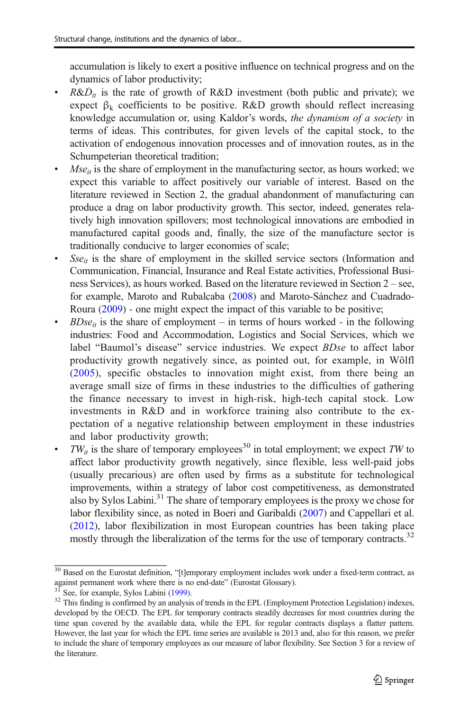accumulation is likely to exert a positive influence on technical progress and on the dynamics of labor productivity;

- R& $D_{it}$  is the rate of growth of R&D investment (both public and private); we expect  $\beta_k$  coefficients to be positive. R&D growth should reflect increasing knowledge accumulation or, using Kaldor's words, the dynamism of a society in terms of ideas. This contributes, for given levels of the capital stock, to the activation of endogenous innovation processes and of innovation routes, as in the Schumpeterian theoretical tradition;
- $Mse_{it}$  is the share of employment in the manufacturing sector, as hours worked; we expect this variable to affect positively our variable of interest. Based on the literature reviewed in Section 2, the gradual abandonment of manufacturing can produce a drag on labor productivity growth. This sector, indeed, generates relatively high innovation spillovers; most technological innovations are embodied in manufactured capital goods and, finally, the size of the manufacture sector is traditionally conducive to larger economies of scale;
- $Sse_{it}$  is the share of employment in the skilled service sectors (Information and Communication, Financial, Insurance and Real Estate activities, Professional Business Services), as hours worked. Based on the literature reviewed in Section 2 – see, for example, Maroto and Rubalcaba [\(2008](#page-24-0)) and Maroto-Sánchez and Cuadrado-Roura [\(2009\)](#page-24-0) - one might expect the impact of this variable to be positive;
- $B\text{Dse}_{it}$  is the share of employment in terms of hours worked in the following industries: Food and Accommodation, Logistics and Social Services, which we label "Baumol's disease" service industries. We expect *BDse* to affect labor productivity growth negatively since, as pointed out, for example, in Wölfl ([2005](#page-25-0)), specific obstacles to innovation might exist, from there being an average small size of firms in these industries to the difficulties of gathering the finance necessary to invest in high-risk, high-tech capital stock. Low investments in R&D and in workforce training also contribute to the expectation of a negative relationship between employment in these industries and labor productivity growth;
- $TW_{it}$  is the share of temporary employees<sup>30</sup> in total employment; we expect TW to affect labor productivity growth negatively, since flexible, less well-paid jobs (usually precarious) are often used by firms as a substitute for technological improvements, within a strategy of labor cost competitiveness, as demonstrated also by Sylos Labini.31 The share of temporary employees is the proxy we chose for labor flexibility since, as noted in Boeri and Garibaldi ([2007](#page-23-0)) and Cappellari et al. ([2012](#page-23-0)), labor flexibilization in most European countries has been taking place mostly through the liberalization of the terms for the use of temporary contracts.<sup>32</sup>

 $30$  Based on the Eurostat definition, "[t]emporary employment includes work under a fixed-term contract, as against permanent work where there is no end-date" (Eurostat Glossary).

<sup>&</sup>lt;sup>31</sup> See, for example, Sylos Labini [\(1999\)](#page-25-0).  $\frac{31}{2}$  See, for example, Sylos Labini (1999). <sup>32</sup> This finding is confirmed by an analysis of trends in the EPL (Employment Protection Legislation) indexes, developed by the OECD. The EPL for temporary contracts steadily decreases for most countries during the time span covered by the available data, while the EPL for regular contracts displays a flatter pattern. However, the last year for which the EPL time series are available is 2013 and, also for this reason, we prefer to include the share of temporary employees as our measure of labor flexibility. See Section 3 for a review of the literature.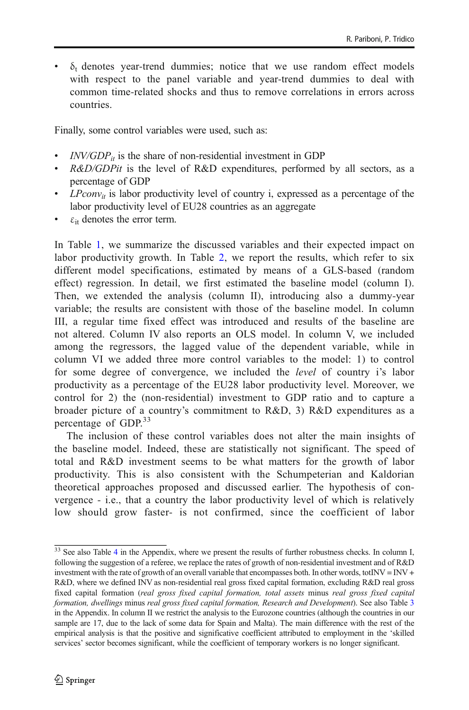$\delta_t$  denotes year-trend dummies; notice that we use random effect models with respect to the panel variable and year-trend dummies to deal with common time-related shocks and thus to remove correlations in errors across countries.

Finally, some control variables were used, such as:

- *is the share of non-residential investment in GDP*
- R&D/GDPit is the level of R&D expenditures, performed by all sectors, as a percentage of GDP
- $\bullet$  LPconv<sub>it</sub> is labor productivity level of country i, expressed as a percentage of the labor productivity level of EU28 countries as an aggregate
- $\cdot$   $\varepsilon_{it}$  denotes the error term.

In Table [1,](#page-12-0) we summarize the discussed variables and their expected impact on labor productivity growth. In Table [2](#page-13-0), we report the results, which refer to six different model specifications, estimated by means of a GLS-based (random effect) regression. In detail, we first estimated the baseline model (column I). Then, we extended the analysis (column II), introducing also a dummy-year variable; the results are consistent with those of the baseline model. In column III, a regular time fixed effect was introduced and results of the baseline are not altered. Column IV also reports an OLS model. In column V, we included among the regressors, the lagged value of the dependent variable, while in column VI we added three more control variables to the model: 1) to control for some degree of convergence, we included the level of country i's labor productivity as a percentage of the EU28 labor productivity level. Moreover, we control for 2) the (non-residential) investment to GDP ratio and to capture a broader picture of a country's commitment to R&D, 3) R&D expenditures as a percentage of GDP.<sup>33</sup>

The inclusion of these control variables does not alter the main insights of the baseline model. Indeed, these are statistically not significant. The speed of total and R&D investment seems to be what matters for the growth of labor productivity. This is also consistent with the Schumpeterian and Kaldorian theoretical approaches proposed and discussed earlier. The hypothesis of convergence - i.e., that a country the labor productivity level of which is relatively low should grow faster- is not confirmed, since the coefficient of labor

 $\frac{33}{33}$  See also Table [4](#page-18-0) in the Appendix, where we present the results of further robustness checks. In column I, following the suggestion of a referee, we replace the rates of growth of non-residential investment and of R&D investment with the rate of growth of an overall variable that encompasses both. In other words, tot $\text{INV} = \text{INV} + \text{Cov}$ R&D, where we defined INV as non-residential real gross fixed capital formation, excluding R&D real gross fixed capital formation (real gross fixed capital formation, total assets minus real gross fixed capital formation, dwellings minus real gross fixed capital formation, Research and Development). See also Table [3](#page-17-0) in the Appendix. In column II we restrict the analysis to the Eurozone countries (although the countries in our sample are 17, due to the lack of some data for Spain and Malta). The main difference with the rest of the empirical analysis is that the positive and significative coefficient attributed to employment in the 'skilled services' sector becomes significant, while the coefficient of temporary workers is no longer significant.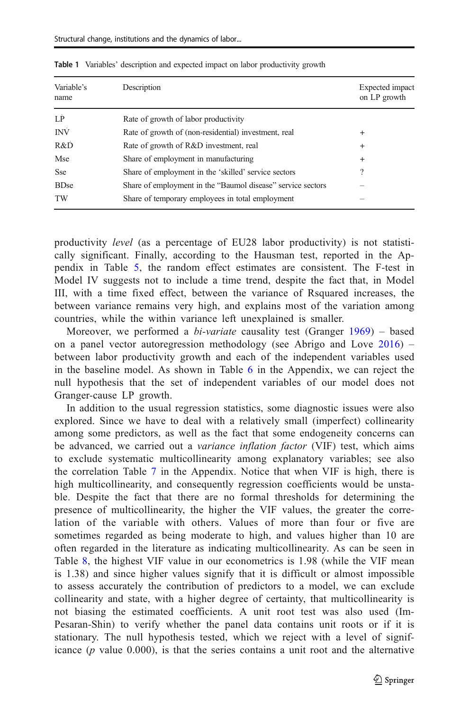| Variable's<br>name | Description                                                 | Expected impact<br>on LP growth |
|--------------------|-------------------------------------------------------------|---------------------------------|
| LP                 | Rate of growth of labor productivity                        |                                 |
| INV                | Rate of growth of (non-residential) investment, real        | $\overline{+}$                  |
| R&D                | Rate of growth of R&D investment, real                      | $\overline{+}$                  |
| Mse                | Share of employment in manufacturing                        | $\overline{+}$                  |
| <b>Sse</b>         | Share of employment in the 'skilled' service sectors        | ?                               |
| <b>BDse</b>        | Share of employment in the "Baumol disease" service sectors |                                 |
| TW                 | Share of temporary employees in total employment            |                                 |

<span id="page-12-0"></span>Table 1 Variables' description and expected impact on labor productivity growth

productivity level (as a percentage of EU28 labor productivity) is not statistically significant. Finally, according to the Hausman test, reported in the Appendix in Table [5,](#page-19-0) the random effect estimates are consistent. The F-test in Model IV suggests not to include a time trend, despite the fact that, in Model III, with a time fixed effect, between the variance of Rsquared increases, the between variance remains very high, and explains most of the variation among countries, while the within variance left unexplained is smaller.

Moreover, we performed a *bi-variate* causality test (Granger  $1969$ ) – based on a panel vector autoregression methodology (see Abrigo and Love [2016](#page-23-0)) – between labor productivity growth and each of the independent variables used in the baseline model. As shown in Table [6](#page-20-0) in the Appendix, we can reject the null hypothesis that the set of independent variables of our model does not Granger-cause LP growth.

In addition to the usual regression statistics, some diagnostic issues were also explored. Since we have to deal with a relatively small (imperfect) collinearity among some predictors, as well as the fact that some endogeneity concerns can be advanced, we carried out a variance inflation factor (VIF) test, which aims to exclude systematic multicollinearity among explanatory variables; see also the correlation Table [7](#page-20-0) in the Appendix. Notice that when VIF is high, there is high multicollinearity, and consequently regression coefficients would be unstable. Despite the fact that there are no formal thresholds for determining the presence of multicollinearity, the higher the VIF values, the greater the correlation of the variable with others. Values of more than four or five are sometimes regarded as being moderate to high, and values higher than 10 are often regarded in the literature as indicating multicollinearity. As can be seen in Table [8](#page-20-0), the highest VIF value in our econometrics is 1.98 (while the VIF mean is 1.38) and since higher values signify that it is difficult or almost impossible to assess accurately the contribution of predictors to a model, we can exclude collinearity and state, with a higher degree of certainty, that multicollinearity is not biasing the estimated coefficients. A unit root test was also used (Im-Pesaran-Shin) to verify whether the panel data contains unit roots or if it is stationary. The null hypothesis tested, which we reject with a level of significance  $(p$  value  $0.000$ , is that the series contains a unit root and the alternative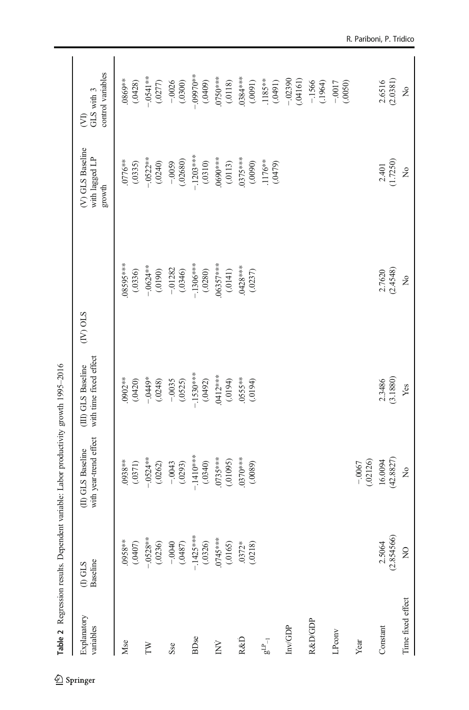<span id="page-13-0"></span>

| Explanatory<br>variables | Baseline<br>$(1)$ GLS | with year-trend effect<br>(II) GLS Baseline | with time fixed effect<br>(III) GLS Baseline | <b>STO (AD</b>         | (V) GLS Baseline<br>with lagged LP<br>growth | control variables<br>GLS with 3<br><b>E</b> |
|--------------------------|-----------------------|---------------------------------------------|----------------------------------------------|------------------------|----------------------------------------------|---------------------------------------------|
| Mse                      | **8\$60.<br>(0407)    | 0938**<br>(.0371)                           | 0902**<br>(.0420)                            | 08595****<br>(.0336)   | 0776**<br>(.0335)                            | .0869**<br>(.0428)                          |
| FW                       | $-0528***$<br>(.0236) | $-0.524**$<br>(.0262)                       | $-0449*$<br>(.0248)                          | $-0.624***$<br>(00190) | $-0.522**$<br>(.0240)                        | $-0.541***$<br>(.0277)                      |
| Sse                      | $-0040$<br>(0487)     | $-.0043$<br>(.0293)                         | $-.0035$<br>(.0525)                          | $-.01282$<br>(.0346)   | (.02680)<br>$-0.0059$                        | $-0026$<br>(.0300)                          |
| BDse                     | $-1425***$<br>(.0326) | $-140$<br>(.0340)                           | $-1530***$<br>(.0492)                        | $-1306***$<br>(.0280)  | $-1203***$<br>(.0310)                        | $-0.09970**$<br>(0040)                      |
| $\rm \dot{N}$            | $0745***$<br>(.0165)  | $0735***$<br>(.01095)                       | 0412***<br>(610.)                            | 06357***<br>(.0141)    | 0690***<br>(.0113)                           | $0750***$<br>(.0118)                        |
| R&D                      | $.0372*$<br>(.0218)   | $0370***$<br>(.0089)                        | $055$ **<br>(0.0194)                         | $.0428***$<br>(.0237)  | $0375***$<br>(0600)                          | $0384***$<br>(.0091)                        |
| $F_{\rm qg}$             |                       |                                             |                                              |                        | .1176**<br>(0.0479)                          | .1185**<br>(1640)                           |
| Inv/GDP                  |                       |                                             |                                              |                        |                                              | $-02390$<br>(.04161)                        |
| R&D/GDP                  |                       |                                             |                                              |                        |                                              | $-.1566$<br>(.1964)                         |
| LPconv                   |                       |                                             |                                              |                        |                                              | $-0.0017$<br>(.0050)                        |
| Year                     |                       | (.02126)<br>$-.0067$                        |                                              |                        |                                              |                                             |
| Constant                 | (2.854566)<br>2.5064  | (42.8827)<br>16.0094                        | (3.1880)<br>2.3486                           | (2.4548)<br>2.7620     | (1.7250)<br>2.401                            | (2.0381)<br>2.6516                          |
| Time fixed effect        | $\overline{a}$        | $\tilde{z}$                                 | Yes                                          | ż                      | $\tilde{z}$                                  | $\tilde{z}$                                 |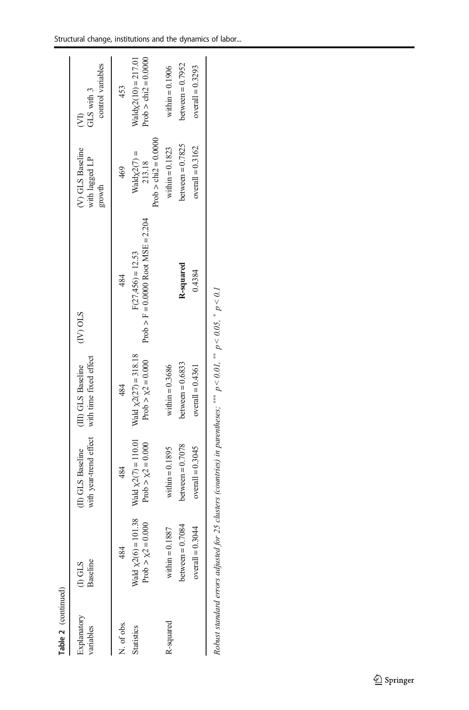| Explanatory<br>variables | Baseline<br>$(1)$ GLS                                | with year-trend effect<br>(II) GLS Baseline          | with time fixed effect<br>(III) GLS Baseline          | $(IV)$ OLS                                                | (V) GLS Baseline<br>with lagged LP<br>growth      | control variables<br>GLS with 3<br>Ê            |
|--------------------------|------------------------------------------------------|------------------------------------------------------|-------------------------------------------------------|-----------------------------------------------------------|---------------------------------------------------|-------------------------------------------------|
| N. of obs.               | 484                                                  | 484                                                  | 484                                                   | 484                                                       | 469                                               | 453                                             |
| <b>Statistics</b>        | Wald $\chi$ 2(6) = 101.38<br>Prob $> \chi$ 2 = 0.000 | Wald $\chi$ 2(7) = 110.01<br>Prob $> \chi^2 = 0.000$ | Wald $\chi$ 2(27) = 318.18<br>Prob $> \chi$ 2 = 0.000 | Prob > F = 0.0000 Root MSE = 2.204<br>$F(27,456) = 12.53$ | Prob $>$ chi2 = 0.0000<br>$Waldx2(7) =$<br>213.18 | Prob $>$ chi2 = 0.0000<br>$Waldx2(10) = 217.01$ |
| R-squared                | within $= 0.1887$                                    | within $= 0.1895$                                    | within $= 0.3686$                                     |                                                           | within $= 0.1823$                                 | within $= 0.1906$                               |
|                          | between $= 0.7084$                                   | between $= 0.7078$                                   | between $= 0.6833$                                    | R-squared                                                 | between $= 0.7825$                                | between $= 0.7952$                              |
|                          | $overall = 0.3044$                                   | $overall = 0.3045$                                   | $overall = 0.4361$                                    | 0.4384                                                    | overall = $0.3162$                                | $overall = 0.3293$                              |

| ×                         |
|---------------------------|
| ï<br>$\ddot{\phantom{0}}$ |
|                           |
| ** *                      |
| 1<br>S                    |
|                           |
| Sk Sk Sk                  |
| ğ,                        |
|                           |
|                           |
| Î                         |
| l                         |
|                           |
| $\frac{1}{2}$             |
|                           |
| 1                         |
| ļ<br>Robi<br>:            |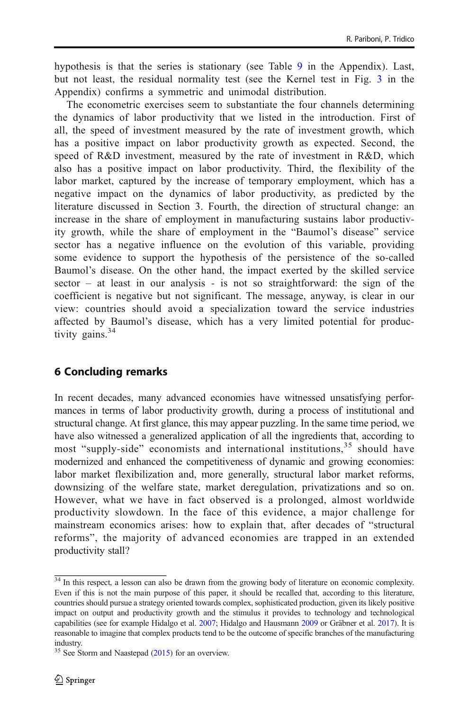hypothesis is that the series is stationary (see Table [9](#page-21-0) in the Appendix). Last, but not least, the residual normality test (see the Kernel test in Fig. [3](#page-21-0) in the Appendix) confirms a symmetric and unimodal distribution.

The econometric exercises seem to substantiate the four channels determining the dynamics of labor productivity that we listed in the introduction. First of all, the speed of investment measured by the rate of investment growth, which has a positive impact on labor productivity growth as expected. Second, the speed of R&D investment, measured by the rate of investment in R&D, which also has a positive impact on labor productivity. Third, the flexibility of the labor market, captured by the increase of temporary employment, which has a negative impact on the dynamics of labor productivity, as predicted by the literature discussed in Section 3. Fourth, the direction of structural change: an increase in the share of employment in manufacturing sustains labor productivity growth, while the share of employment in the "Baumol's disease" service sector has a negative influence on the evolution of this variable, providing some evidence to support the hypothesis of the persistence of the so-called Baumol's disease. On the other hand, the impact exerted by the skilled service  $sector - at least in our analysis - is not so straightforward: the sign of the$ coefficient is negative but not significant. The message, anyway, is clear in our view: countries should avoid a specialization toward the service industries affected by Baumol's disease, which has a very limited potential for productivity gains.<sup>34</sup>

## 6 Concluding remarks

In recent decades, many advanced economies have witnessed unsatisfying performances in terms of labor productivity growth, during a process of institutional and structural change. At first glance, this may appear puzzling. In the same time period, we have also witnessed a generalized application of all the ingredients that, according to most "supply-side" economists and international institutions,<sup>35</sup> should have modernized and enhanced the competitiveness of dynamic and growing economies: labor market flexibilization and, more generally, structural labor market reforms, downsizing of the welfare state, market deregulation, privatizations and so on. However, what we have in fact observed is a prolonged, almost worldwide productivity slowdown. In the face of this evidence, a major challenge for mainstream economics arises: how to explain that, after decades of "structural reforms", the majority of advanced economies are trapped in an extended productivity stall?

 $34$  In this respect, a lesson can also be drawn from the growing body of literature on economic complexity. Even if this is not the main purpose of this paper, it should be recalled that, according to this literature, countries should pursue a strategy oriented towards complex, sophisticated production, given its likely positive impact on output and productivity growth and the stimulus it provides to technology and technological capabilities (see for example Hidalgo et al. [2007](#page-24-0); Hidalgo and Hausmann [2009](#page-24-0) or Gräbner et al. [2017\)](#page-24-0). It is reasonable to imagine that complex products tend to be the outcome of specific branches of the manufacturing industry.

<sup>&</sup>lt;sup>35</sup> See Storm and Naastepad [\(2015](#page-25-0)) for an overview.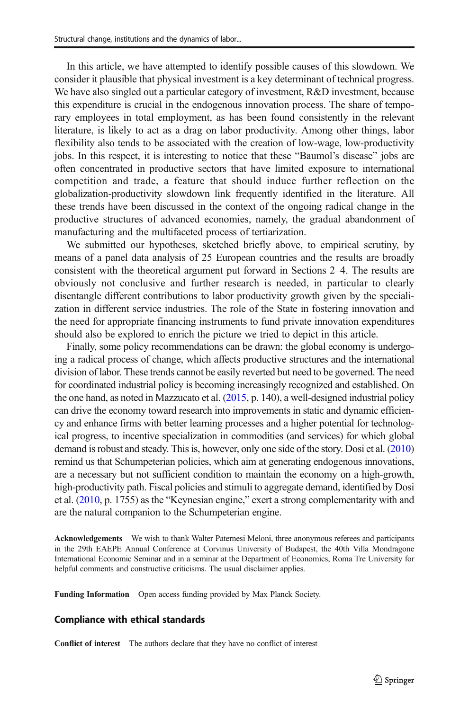In this article, we have attempted to identify possible causes of this slowdown. We consider it plausible that physical investment is a key determinant of technical progress. We have also singled out a particular category of investment, R&D investment, because this expenditure is crucial in the endogenous innovation process. The share of temporary employees in total employment, as has been found consistently in the relevant literature, is likely to act as a drag on labor productivity. Among other things, labor flexibility also tends to be associated with the creation of low-wage, low-productivity jobs. In this respect, it is interesting to notice that these "Baumol's disease" jobs are often concentrated in productive sectors that have limited exposure to international competition and trade, a feature that should induce further reflection on the globalization-productivity slowdown link frequently identified in the literature. All these trends have been discussed in the context of the ongoing radical change in the productive structures of advanced economies, namely, the gradual abandonment of manufacturing and the multifaceted process of tertiarization.

We submitted our hypotheses, sketched briefly above, to empirical scrutiny, by means of a panel data analysis of 25 European countries and the results are broadly consistent with the theoretical argument put forward in Sections 2–4. The results are obviously not conclusive and further research is needed, in particular to clearly disentangle different contributions to labor productivity growth given by the specialization in different service industries. The role of the State in fostering innovation and the need for appropriate financing instruments to fund private innovation expenditures should also be explored to enrich the picture we tried to depict in this article.

Finally, some policy recommendations can be drawn: the global economy is undergoing a radical process of change, which affects productive structures and the international division of labor. These trends cannot be easily reverted but need to be governed. The need for coordinated industrial policy is becoming increasingly recognized and established. On the one hand, as noted in Mazzucato et al. [\(2015](#page-24-0), p. 140), a well-designed industrial policy can drive the economy toward research into improvements in static and dynamic efficiency and enhance firms with better learning processes and a higher potential for technological progress, to incentive specialization in commodities (and services) for which global demand is robust and steady. This is, however, only one side of the story. Dosi et al. [\(2010](#page-23-0)) remind us that Schumpeterian policies, which aim at generating endogenous innovations, are a necessary but not sufficient condition to maintain the economy on a high-growth, high-productivity path. Fiscal policies and stimuli to aggregate demand, identified by Dosi et al. [\(2010](#page-23-0), p. 1755) as the "Keynesian engine," exert a strong complementarity with and are the natural companion to the Schumpeterian engine.

Acknowledgements We wish to thank Walter Paternesi Meloni, three anonymous referees and participants in the 29th EAEPE Annual Conference at Corvinus University of Budapest, the 40th Villa Mondragone International Economic Seminar and in a seminar at the Department of Economics, Roma Tre University for helpful comments and constructive criticisms. The usual disclaimer applies.

Funding Information Open access funding provided by Max Planck Society.

#### Compliance with ethical standards

Conflict of interest The authors declare that they have no conflict of interest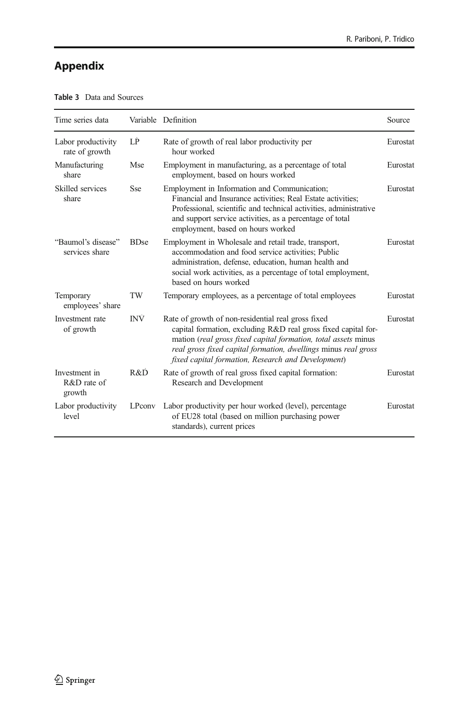# <span id="page-17-0"></span>Appendix

| Time series data                         |             | Variable Definition                                                                                                                                                                                                                                                                                            | Source   |
|------------------------------------------|-------------|----------------------------------------------------------------------------------------------------------------------------------------------------------------------------------------------------------------------------------------------------------------------------------------------------------------|----------|
| Labor productivity<br>rate of growth     | LP          | Rate of growth of real labor productivity per<br>hour worked                                                                                                                                                                                                                                                   | Eurostat |
| Manufacturing<br>share                   | Mse         | Employment in manufacturing, as a percentage of total<br>employment, based on hours worked                                                                                                                                                                                                                     | Eurostat |
| Skilled services<br>share                | Sse         | Employment in Information and Communication;<br>Financial and Insurance activities; Real Estate activities;<br>Professional, scientific and technical activities, administrative<br>and support service activities, as a percentage of total<br>employment, based on hours worked                              | Eurostat |
| "Baumol's disease"<br>services share     | <b>BDse</b> | Employment in Wholesale and retail trade, transport,<br>accommodation and food service activities: Public<br>administration, defense, education, human health and<br>social work activities, as a percentage of total employment,<br>based on hours worked                                                     | Eurostat |
| Temporary<br>employees' share            | TW          | Temporary employees, as a percentage of total employees                                                                                                                                                                                                                                                        | Eurostat |
| Investment rate<br>of growth             | <b>INV</b>  | Rate of growth of non-residential real gross fixed<br>capital formation, excluding R&D real gross fixed capital for-<br>mation (real gross fixed capital formation, total assets minus<br>real gross fixed capital formation, dwellings minus real gross<br>fixed capital formation, Research and Development) | Eurostat |
| Investment in<br>$R&D$ rate of<br>growth | R&D         | Rate of growth of real gross fixed capital formation:<br>Research and Development                                                                                                                                                                                                                              | Eurostat |
| Labor productivity<br>level              | LPconv      | Labor productivity per hour worked (level), percentage<br>of EU28 total (based on million purchasing power<br>standards), current prices                                                                                                                                                                       | Eurostat |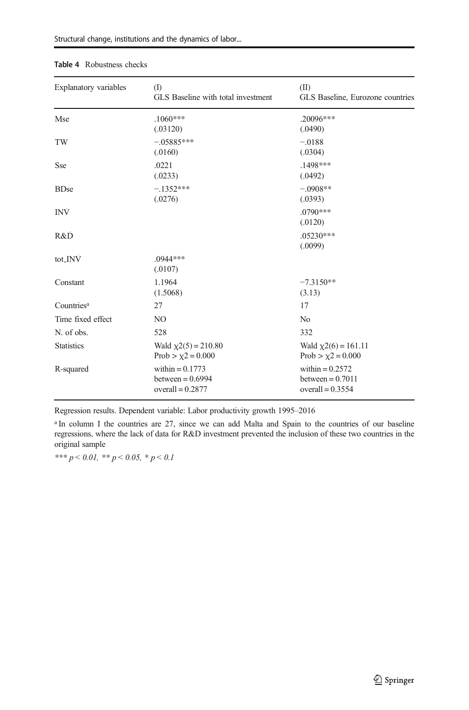| Explanatory variables  | (I)<br>GLS Baseline with total investment                     | (II)<br>GLS Baseline, Eurozone countries                      |
|------------------------|---------------------------------------------------------------|---------------------------------------------------------------|
| Mse                    | $.1060***$<br>(.03120)                                        | .20096***<br>(.0490)                                          |
| TW                     | $-.05885***$<br>(.0160)                                       | $-.0188$<br>(.0304)                                           |
| Sse                    | .0221<br>(.0233)                                              | .1498***<br>(.0492)                                           |
| <b>BDse</b>            | $-.1352***$<br>(.0276)                                        | $-.0908**$<br>(.0393)                                         |
| <b>INV</b>             |                                                               | .0790***<br>(.0120)                                           |
| R&D                    |                                                               | $.05230***$<br>(.0099)                                        |
| tot_INV                | $.0944***$<br>(.0107)                                         |                                                               |
| Constant               | 1.1964<br>(1.5068)                                            | $-7.3150**$<br>(3.13)                                         |
| Countries <sup>a</sup> | 27                                                            | 17                                                            |
| Time fixed effect      | N <sub>O</sub>                                                | N <sub>0</sub>                                                |
| N. of obs.             | 528                                                           | 332                                                           |
| <b>Statistics</b>      | Wald $\chi$ 2(5) = 210.80<br>Prob > $\chi$ 2 = 0.000          | Wald $\chi$ 2(6) = 161.11<br>Prob > $\chi$ 2 = 0.000          |
| R-squared              | within $= 0.1773$<br>between = $0.6994$<br>overall = $0.2877$ | within $= 0.2572$<br>between $= 0.7011$<br>overall = $0.3554$ |

#### <span id="page-18-0"></span>Table 4 Robustness checks

Regression results. Dependent variable: Labor productivity growth 1995–2016

<sup>a</sup> In column I the countries are 27, since we can add Malta and Spain to the countries of our baseline regressions, where the lack of data for R&D investment prevented the inclusion of these two countries in the original sample

\*\*\*  $p < 0.01$ , \*\*  $p < 0.05$ , \*  $p < 0.1$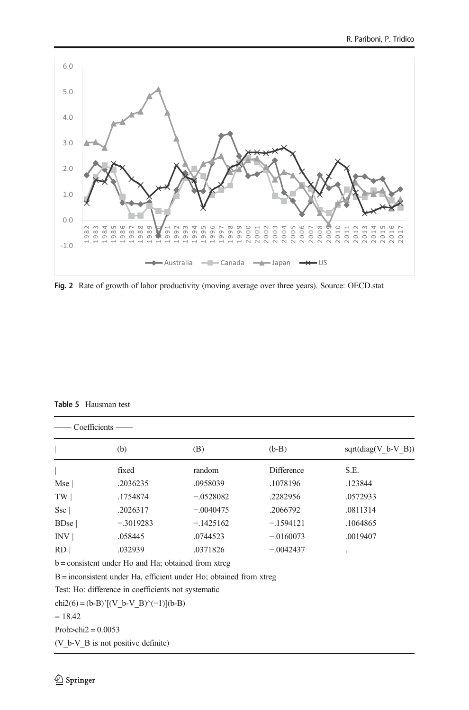<span id="page-19-0"></span>

Fig. 2 Rate of growth of labor productivity (moving average over three years). Source: OECD.stat

Table 5 Hausman test

|                             | $Coefficients -$                                                     |             |             |                       |
|-----------------------------|----------------------------------------------------------------------|-------------|-------------|-----------------------|
|                             | (b)                                                                  | (B)         | $(b-B)$     | $sqrt(diag(V b-V B))$ |
|                             | fixed                                                                | random      | Difference  | S.E.                  |
| Mse                         | .2036235                                                             | .0958039    | .1078196    | .123844               |
| TW                          | .1754874                                                             | $-.0528082$ | .2282956    | .0572933              |
| Sse                         | .2026317                                                             | $-.0040475$ | .2066792    | .0811314              |
| $B$ Dse                     | $-.3019283$                                                          | $-.1425162$ | $-.1594121$ | .1064865              |
| INV                         | .058445                                                              | .0744523    | $-.0160073$ | .0019407              |
| RD                          | .032939                                                              | .0371826    | $-.0042437$ |                       |
|                             | $b =$ consistent under Ho and Ha; obtained from xtreg                |             |             |                       |
|                             | $B =$ inconsistent under Ha, efficient under Ho; obtained from xtreg |             |             |                       |
|                             | Test: Ho: difference in coefficients not systematic                  |             |             |                       |
|                             | $chi2(6) = (b-B)'[(V b-V B)'(-1)](b-B)$                              |             |             |                       |
| $= 18.42$                   |                                                                      |             |             |                       |
| Prob $\ge$ chi $2 = 0.0053$ |                                                                      |             |             |                       |

(V\_b-V\_B is not positive definite)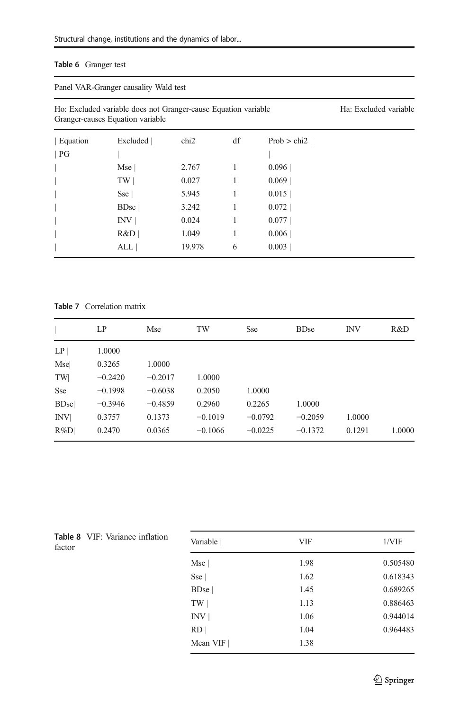### <span id="page-20-0"></span>Table 6 Granger test

Panel VAR-Granger causality Wald test

| Ho: Excluded variable does not Granger-cause Equation variable | Ha: Excluded variable |
|----------------------------------------------------------------|-----------------------|
| Granger-causes Equation variable                               |                       |
|                                                                |                       |

| Equation | Excluded | chi <sub>2</sub> | df | Prob $>$ chi <sub>2</sub> |  |
|----------|----------|------------------|----|---------------------------|--|
| PG       |          |                  |    |                           |  |
|          | Mse      | 2.767            |    | 0.096                     |  |
|          | TW       | 0.027            |    | 0.069                     |  |
|          | Sse      | 5.945            |    | 0.015                     |  |
|          | $B$ Dse  | 3.242            |    | 0.072                     |  |
|          | INV      | 0.024            |    | 0.077                     |  |
|          | R&D      | 1.049            |    | 0.006                     |  |
|          | ALL      | 19.978           | 6  | 0.003                     |  |
|          |          |                  |    |                           |  |

### Table 7 Correlation matrix

|             | LP        | Mse       | TW        | Sse       | <b>BDse</b> | <b>INV</b> | R&D    |
|-------------|-----------|-----------|-----------|-----------|-------------|------------|--------|
| LP          | 1.0000    |           |           |           |             |            |        |
| Mse         | 0.3265    | 1.0000    |           |           |             |            |        |
| TW          | $-0.2420$ | $-0.2017$ | 1.0000    |           |             |            |        |
| Ssel        | $-0.1998$ | $-0.6038$ | 0.2050    | 1.0000    |             |            |        |
| <b>BDse</b> | $-0.3946$ | $-0.4859$ | 0.2960    | 0.2265    | 1.0000      |            |        |
| <b>INV</b>  | 0.3757    | 0.1373    | $-0.1019$ | $-0.0792$ | $-0.2059$   | 1.0000     |        |
| $R\%D$      | 0.2470    | 0.0365    | $-0.1066$ | $-0.0225$ | $-0.1372$   | 0.1291     | 1.0000 |

Table 8 VIF: Variance inflation<br>factor

| <b>Table 8</b> VIF: Variance inflation<br>factor | Variable         | <b>VIF</b> | $1/\text{VIF}$ |
|--------------------------------------------------|------------------|------------|----------------|
|                                                  | Mse              | 1.98       | 0.505480       |
|                                                  | Sse              | 1.62       | 0.618343       |
|                                                  | BD <sub>se</sub> | 1.45       | 0.689265       |
|                                                  | TW               | 1.13       | 0.886463       |
|                                                  | INV              | 1.06       | 0.944014       |
|                                                  | RD               | 1.04       | 0.964483       |
|                                                  | Mean VIF         | 1.38       |                |
|                                                  |                  |            |                |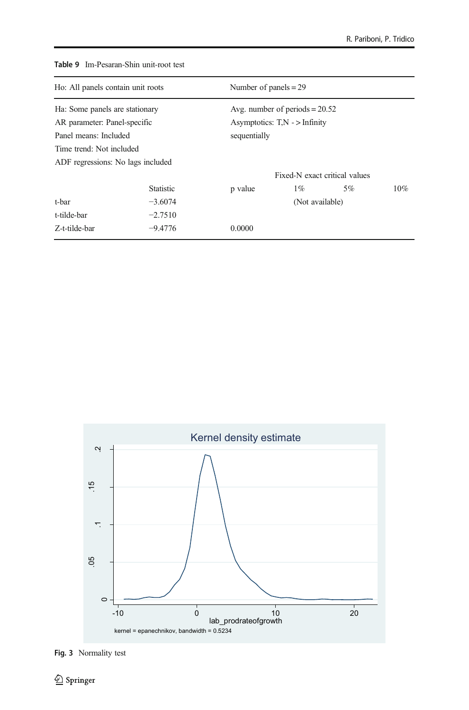| Ho: All panels contain unit roots |                  |                                  | Number of panels $= 29$ |    |     |  |
|-----------------------------------|------------------|----------------------------------|-------------------------|----|-----|--|
| Ha: Some panels are stationary    |                  | Avg. number of periods $= 20.52$ |                         |    |     |  |
| AR parameter: Panel-specific      |                  | Asymptotics: $TN$ - > Infinity   |                         |    |     |  |
| Panel means: Included             |                  | sequentially                     |                         |    |     |  |
| Time trend: Not included          |                  |                                  |                         |    |     |  |
| ADF regressions: No lags included |                  |                                  |                         |    |     |  |
|                                   |                  | Fixed-N exact critical values    |                         |    |     |  |
|                                   | <b>Statistic</b> | p value                          | $1\%$                   | 5% | 10% |  |
| t-bar                             | $-3.6074$        |                                  | (Not available)         |    |     |  |
| t-tilde-bar                       | $-2.7510$        |                                  |                         |    |     |  |
| Z-t-tilde-bar                     | $-9.4776$        | 0.0000                           |                         |    |     |  |

<span id="page-21-0"></span>Table 9 Im-Pesaran-Shin unit-root test



Fig. 3 Normality test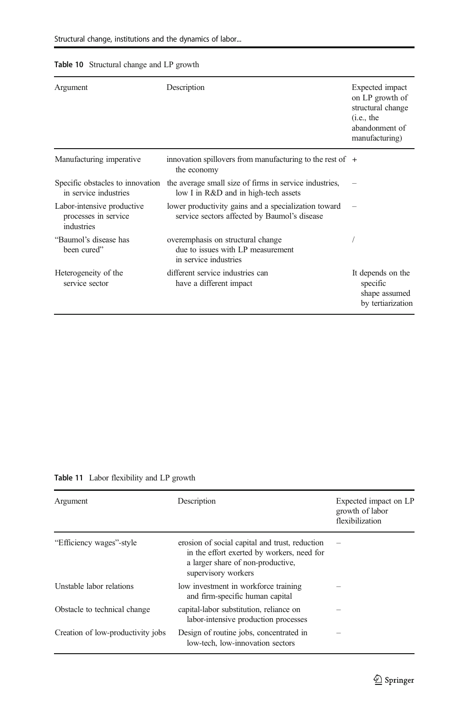### <span id="page-22-0"></span>Table 10 Structural change and LP growth

| Argument                                                         | Description                                                                                          | Expected impact<br>on LP growth of<br>structural change<br>(i.e., the<br>abandonment of<br>manufacturing) |
|------------------------------------------------------------------|------------------------------------------------------------------------------------------------------|-----------------------------------------------------------------------------------------------------------|
| Manufacturing imperative                                         | innovation spillovers from manufacturing to the rest of $+$<br>the economy                           |                                                                                                           |
| Specific obstacles to innovation<br>in service industries        | the average small size of firms in service industries,<br>low I in R&D and in high-tech assets       |                                                                                                           |
| Labor-intensive productive<br>processes in service<br>industries | lower productivity gains and a specialization toward<br>service sectors affected by Baumol's disease |                                                                                                           |
| "Baumol's disease has<br>been cured"                             | overemphasis on structural change<br>due to issues with LP measurement<br>in service industries      |                                                                                                           |
| Heterogeneity of the<br>service sector                           | different service industries can<br>have a different impact                                          | It depends on the<br>specific<br>shape assumed<br>by tertiarization                                       |

Table 11 Labor flexibility and LP growth

| Argument                          | Description                                                                                                                                              | Expected impact on LP<br>growth of labor<br>flexibilization |
|-----------------------------------|----------------------------------------------------------------------------------------------------------------------------------------------------------|-------------------------------------------------------------|
| "Efficiency wages"-style          | erosion of social capital and trust, reduction<br>in the effort exerted by workers, need for<br>a larger share of non-productive,<br>supervisory workers |                                                             |
| Unstable labor relations          | low investment in workforce training<br>and firm-specific human capital                                                                                  |                                                             |
| Obstacle to technical change      | capital-labor substitution, reliance on<br>labor-intensive production processes                                                                          |                                                             |
| Creation of low-productivity jobs | Design of routine jobs, concentrated in<br>low-tech, low-innovation sectors                                                                              |                                                             |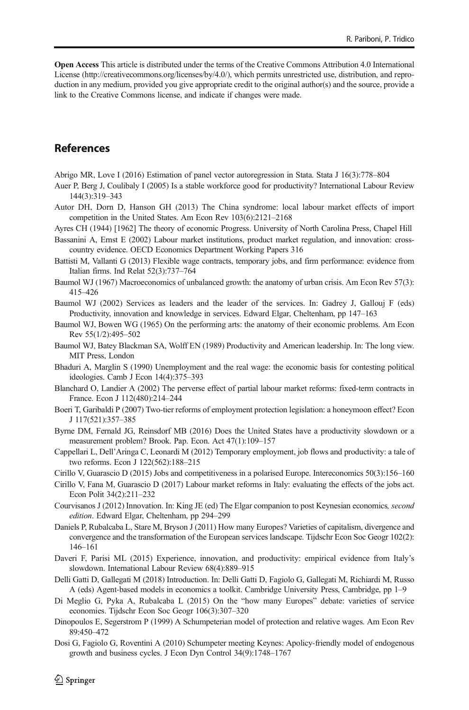<span id="page-23-0"></span>Open Access This article is distributed under the terms of the Creative Commons Attribution 4.0 International License (http://creativecommons.org/licenses/by/4.0/), which permits unrestricted use, distribution, and reproduction in any medium, provided you give appropriate credit to the original author(s) and the source, provide a link to the Creative Commons license, and indicate if changes were made.

## References

- Abrigo MR, Love I (2016) Estimation of panel vector autoregression in Stata. Stata J 16(3):778–804
- Auer P, Berg J, Coulibaly I (2005) Is a stable workforce good for productivity? International Labour Review 144(3):319–343
- Autor DH, Dorn D, Hanson GH (2013) The China syndrome: local labour market effects of import competition in the United States. Am Econ Rev 103(6):2121–2168
- Ayres CH (1944) [1962] The theory of economic Progress. University of North Carolina Press, Chapel Hill
- Bassanini A, Ernst E (2002) Labour market institutions, product market regulation, and innovation: crosscountry evidence. OECD Economics Department Working Papers 316
- Battisti M, Vallanti G (2013) Flexible wage contracts, temporary jobs, and firm performance: evidence from Italian firms. Ind Relat 52(3):737–764
- Baumol WJ (1967) Macroeconomics of unbalanced growth: the anatomy of urban crisis. Am Econ Rev 57(3): 415–426
- Baumol WJ (2002) Services as leaders and the leader of the services. In: Gadrey J, Gallouj F (eds) Productivity, innovation and knowledge in services. Edward Elgar, Cheltenham, pp 147–163
- Baumol WJ, Bowen WG (1965) On the performing arts: the anatomy of their economic problems. Am Econ Rev 55(1/2):495–502
- Baumol WJ, Batey Blackman SA, Wolff EN (1989) Productivity and American leadership. In: The long view. MIT Press, London
- Bhaduri A, Marglin S (1990) Unemployment and the real wage: the economic basis for contesting political ideologies. Camb J Econ 14(4):375–393
- Blanchard O, Landier A (2002) The perverse effect of partial labour market reforms: fixed-term contracts in France. Econ J 112(480):214–244
- Boeri T, Garibaldi P (2007) Two-tier reforms of employment protection legislation: a honeymoon effect? Econ J 117(521):357–385
- Byrne DM, Fernald JG, Reinsdorf MB (2016) Does the United States have a productivity slowdown or a measurement problem? Brook. Pap. Econ. Act 47(1):109–157
- Cappellari L, Dell'Aringa C, Leonardi M (2012) Temporary employment, job flows and productivity: a tale of two reforms. Econ J 122(562):188–215
- Cirillo V, Guarascio D (2015) Jobs and competitiveness in a polarised Europe. Intereconomics 50(3):156–160
- Cirillo V, Fana M, Guarascio D (2017) Labour market reforms in Italy: evaluating the effects of the jobs act. Econ Polit 34(2):211–232
- Courvisanos J (2012) Innovation. In: King JE (ed) The Elgar companion to post Keynesian economics, second edition. Edward Elgar, Cheltenham, pp 294–299
- Daniels P, Rubalcaba L, Stare M, Bryson J (2011) How many Europes? Varieties of capitalism, divergence and convergence and the transformation of the European services landscape. Tijdschr Econ Soc Geogr 102(2): 146–161
- Daveri F, Parisi ML (2015) Experience, innovation, and productivity: empirical evidence from Italy's slowdown. International Labour Review 68(4):889–915
- Delli Gatti D, Gallegati M (2018) Introduction. In: Delli Gatti D, Fagiolo G, Gallegati M, Richiardi M, Russo A (eds) Agent-based models in economics a toolkit. Cambridge University Press, Cambridge, pp 1–9
- Di Meglio G, Pyka A, Rubalcaba L (2015) On the "how many Europes" debate: varieties of service economies. Tijdschr Econ Soc Geogr 106(3):307–320
- Dinopoulos E, Segerstrom P (1999) A Schumpeterian model of protection and relative wages. Am Econ Rev 89:450–472
- Dosi G, Fagiolo G, Roventini A (2010) Schumpeter meeting Keynes: Apolicy-friendly model of endogenous growth and business cycles. J Econ Dyn Control 34(9):1748–1767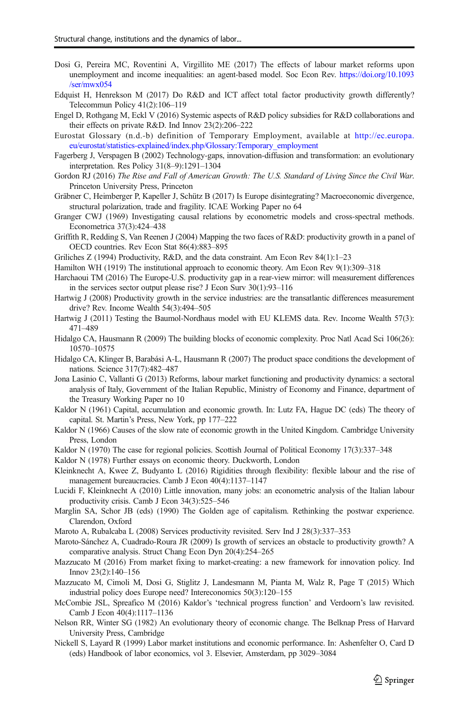- <span id="page-24-0"></span>Dosi G, Pereira MC, Roventini A, Virgillito ME (2017) The effects of labour market reforms upon unemployment and income inequalities: an agent-based model. Soc Econ Rev. [https://doi.org/10.1093](https://doi.org/10.1093/ser/mwx054) [/ser/mwx054](https://doi.org/10.1093/ser/mwx054)
- Edquist H, Henrekson M (2017) Do R&D and ICT affect total factor productivity growth differently? Telecommun Policy 41(2):106–119
- Engel D, Rothgang M, Eckl V (2016) Systemic aspects of R&D policy subsidies for R&D collaborations and their effects on private R&D. Ind Innov 23(2):206–222
- Eurostat Glossary (n.d.-b) definition of Temporary Employment, available at [http://ec.europa.](http://ec.europa.eu/eurostat/statistics-explained/index.php/Glossary:Temporary_employment) [eu/eurostat/statistics-explained/index.php/Glossary:Temporary\\_employment](http://ec.europa.eu/eurostat/statistics-explained/index.php/Glossary:Temporary_employment)
- Fagerberg J, Verspagen B (2002) Technology-gaps, innovation-diffusion and transformation: an evolutionary interpretation. Res Policy 31(8–9):1291–1304
- Gordon RJ (2016) The Rise and Fall of American Growth: The U.S. Standard of Living Since the Civil War. Princeton University Press, Princeton
- Gräbner C, Heimberger P, Kapeller J, Schütz B (2017) Is Europe disintegrating? Macroeconomic divergence, structural polarization, trade and fragility. ICAE Working Paper no 64
- Granger CWJ (1969) Investigating causal relations by econometric models and cross-spectral methods. Econometrica 37(3):424–438
- Griffith R, Redding S, Van Reenen J (2004) Mapping the two faces of R&D: productivity growth in a panel of OECD countries. Rev Econ Stat 86(4):883–895
- Griliches Z (1994) Productivity, R&D, and the data constraint. Am Econ Rev 84(1):1–23
- Hamilton WH (1919) The institutional approach to economic theory. Am Econ Rev 9(1):309–318
- Harchaoui TM (2016) The Europe-U.S. productivity gap in a rear-view mirror: will measurement differences in the services sector output please rise? J Econ Surv 30(1):93–116
- Hartwig J (2008) Productivity growth in the service industries: are the transatlantic differences measurement drive? Rev. Income Wealth 54(3):494–505
- Hartwig J (2011) Testing the Baumol-Nordhaus model with EU KLEMS data. Rev. Income Wealth 57(3): 471–489
- Hidalgo CA, Hausmann R (2009) The building blocks of economic complexity. Proc Natl Acad Sci 106(26): 10570–10575
- Hidalgo CA, Klinger B, Barabási A-L, Hausmann R (2007) The product space conditions the development of nations. Science 317(7):482–487
- Jona Lasinio C, Vallanti G (2013) Reforms, labour market functioning and productivity dynamics: a sectoral analysis of Italy, Government of the Italian Republic, Ministry of Economy and Finance, department of the Treasury Working Paper no 10
- Kaldor N (1961) Capital, accumulation and economic growth. In: Lutz FA, Hague DC (eds) The theory of capital. St. Martin's Press, New York, pp 177–222
- Kaldor N (1966) Causes of the slow rate of economic growth in the United Kingdom. Cambridge University Press, London
- Kaldor N (1970) The case for regional policies. Scottish Journal of Political Economy 17(3):337–348

Kaldor N (1978) Further essays on economic theory. Duckworth, London

- Kleinknecht A, Kwee Z, Budyanto L (2016) Rigidities through flexibility: flexible labour and the rise of management bureaucracies. Camb J Econ 40(4):1137–1147
- Lucidi F, Kleinknecht A (2010) Little innovation, many jobs: an econometric analysis of the Italian labour productivity crisis. Camb J Econ 34(3):525–546
- Marglin SA, Schor JB (eds) (1990) The Golden age of capitalism. Rethinking the postwar experience. Clarendon, Oxford
- Maroto A, Rubalcaba L (2008) Services productivity revisited. Serv Ind J 28(3):337–353
- Maroto-Sánchez A, Cuadrado-Roura JR (2009) Is growth of services an obstacle to productivity growth? A comparative analysis. Struct Chang Econ Dyn 20(4):254–265
- Mazzucato M (2016) From market fixing to market-creating: a new framework for innovation policy. Ind Innov 23(2):140–156
- Mazzucato M, Cimoli M, Dosi G, Stiglitz J, Landesmann M, Pianta M, Walz R, Page T (2015) Which industrial policy does Europe need? Intereconomics 50(3):120–155
- McCombie JSL, Spreafico M (2016) Kaldor's 'technical progress function' and Verdoorn's law revisited. Camb J Econ 40(4):1117–1136
- Nelson RR, Winter SG (1982) An evolutionary theory of economic change. The Belknap Press of Harvard University Press, Cambridge
- Nickell S, Layard R (1999) Labor market institutions and economic performance. In: Ashenfelter O, Card D (eds) Handbook of labor economics, vol 3. Elsevier, Amsterdam, pp 3029–3084